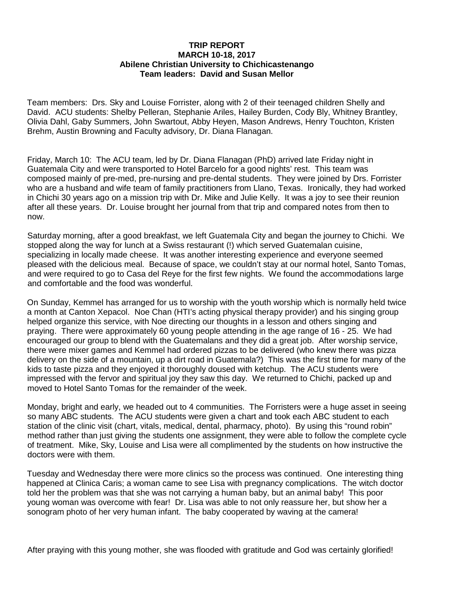## **TRIP REPORT MARCH 10-18, 2017 Abilene Christian University to Chichicastenango Team leaders: David and Susan Mellor**

Team members: Drs. Sky and Louise Forrister, along with 2 of their teenaged children Shelly and David. ACU students: Shelby Pelleran, Stephanie Ariles, Hailey Burden, Cody Bly, Whitney Brantley, Olivia Dahl, Gaby Summers, John Swartout, Abby Heyen, Mason Andrews, Henry Touchton, Kristen Brehm, Austin Browning and Faculty advisory, Dr. Diana Flanagan.

Friday, March 10: The ACU team, led by Dr. Diana Flanagan (PhD) arrived late Friday night in Guatemala City and were transported to Hotel Barcelo for a good nights' rest. This team was composed mainly of pre-med, pre-nursing and pre-dental students. They were joined by Drs. Forrister who are a husband and wife team of family practitioners from Llano, Texas. Ironically, they had worked in Chichi 30 years ago on a mission trip with Dr. Mike and Julie Kelly. It was a joy to see their reunion after all these years. Dr. Louise brought her journal from that trip and compared notes from then to now.

Saturday morning, after a good breakfast, we left Guatemala City and began the journey to Chichi. We stopped along the way for lunch at a Swiss restaurant (!) which served Guatemalan cuisine, specializing in locally made cheese. It was another interesting experience and everyone seemed pleased with the delicious meal. Because of space, we couldn't stay at our normal hotel, Santo Tomas, and were required to go to Casa del Reye for the first few nights. We found the accommodations large and comfortable and the food was wonderful.

On Sunday, Kemmel has arranged for us to worship with the youth worship which is normally held twice a month at Canton Xepacol. Noe Chan (HTI's acting physical therapy provider) and his singing group helped organize this service, with Noe directing our thoughts in a lesson and others singing and praying. There were approximately 60 young people attending in the age range of 16 - 25. We had encouraged our group to blend with the Guatemalans and they did a great job. After worship service, there were mixer games and Kemmel had ordered pizzas to be delivered (who knew there was pizza delivery on the side of a mountain, up a dirt road in Guatemala?) This was the first time for many of the kids to taste pizza and they enjoyed it thoroughly doused with ketchup. The ACU students were impressed with the fervor and spiritual joy they saw this day. We returned to Chichi, packed up and moved to Hotel Santo Tomas for the remainder of the week.

Monday, bright and early, we headed out to 4 communities. The Forristers were a huge asset in seeing so many ABC students. The ACU students were given a chart and took each ABC student to each station of the clinic visit (chart, vitals, medical, dental, pharmacy, photo). By using this "round robin" method rather than just giving the students one assignment, they were able to follow the complete cycle of treatment. Mike, Sky, Louise and Lisa were all complimented by the students on how instructive the doctors were with them.

Tuesday and Wednesday there were more clinics so the process was continued. One interesting thing happened at Clinica Caris; a woman came to see Lisa with pregnancy complications. The witch doctor told her the problem was that she was not carrying a human baby, but an animal baby! This poor young woman was overcome with fear! Dr. Lisa was able to not only reassure her, but show her a sonogram photo of her very human infant. The baby cooperated by waving at the camera!

After praying with this young mother, she was flooded with gratitude and God was certainly glorified!